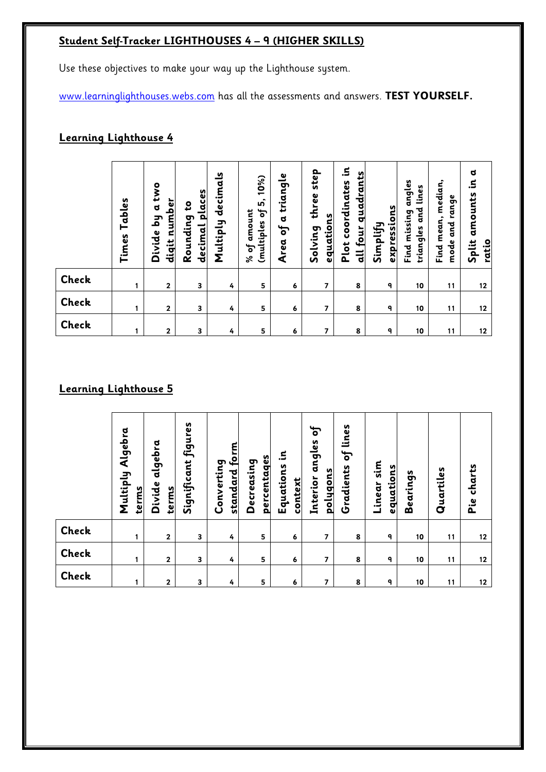# **Student Self-Tracker LIGHTHOUSES 4 – 9 (HIGHER SKILLS)**

Use these objectives to make your way up the Lighthouse system.

www.learninglighthouses.webs.com has all the assessments and answers. **TEST YOURSELF.**

# **Learning Lighthouse 4**

|                              | Tables<br>Times | two<br>diqit number<br>ರ<br>ξq<br>Divide | <u>decimal places</u><br>Rounding to | Multiply decimals | 10%<br><u>ທີ່</u><br>ЪÅ<br>% of amount<br>(multiples | triangle<br>$\sigma$<br>$\mathbf{f}$<br>Area | step<br>three<br>equations<br>Solving | Ξ.<br>all four quadrants<br>coordinates<br>Plot | expressions<br>Simplify | Find missing angles<br>triangles and lines | median,<br>range<br>Find mean,<br>and<br>៩<br>mode | $\mathbf{a}$<br>$\Xi$<br>amounts<br><b>Split</b><br>ratio |
|------------------------------|-----------------|------------------------------------------|--------------------------------------|-------------------|------------------------------------------------------|----------------------------------------------|---------------------------------------|-------------------------------------------------|-------------------------|--------------------------------------------|----------------------------------------------------|-----------------------------------------------------------|
| <b>Check</b>                 | 1               | $\overline{2}$                           | 3                                    | 4                 | 5                                                    | 6                                            | $\overline{\mathbf{z}}$               | 8                                               | 9                       | 10                                         | 11                                                 | 12                                                        |
| Check                        | 1               | $\mathbf 2$                              | 3                                    | 4                 | 5                                                    | 6                                            | $\overline{\mathbf{z}}$               | 8                                               | 9                       | 10                                         | 11                                                 | 12                                                        |
| <b>Check</b>                 | 1               | $\mathbf{2}$                             | 3                                    | 4                 | 5                                                    | 6                                            | $\overline{\phantom{a}}$              | 8                                               | 9                       | 10                                         | 11                                                 | 12                                                        |
| <b>Learning Lighthouse 5</b> |                 |                                          |                                      |                   |                                                      |                                              |                                       |                                                 |                         |                                            |                                                    |                                                           |

|              | Algebra<br>Multiply<br>terms | algebra<br>Divide<br>terms | Significant figures | standard form<br>Converting | percentages<br>Decreasing | Ξ.<br>Equations<br>context | ЪĻ<br>angles<br><u>polygons</u><br>Interior | lines<br>ЪÇ<br>Gradients | sim<br>equations<br>Linear | Bearings | Quartiles | charts<br>Pie |
|--------------|------------------------------|----------------------------|---------------------|-----------------------------|---------------------------|----------------------------|---------------------------------------------|--------------------------|----------------------------|----------|-----------|---------------|
| <b>Check</b> |                              | $\overline{2}$             | 3                   | 4                           | 5                         | 6                          | 7                                           | 8                        | 9                          | 10       | 11        | 12            |
| Check        |                              | $\overline{2}$             | 3                   | 4                           | 5                         | 6                          | 7                                           | 8                        | ٩                          | 10       | 11        | 12            |
| Check        |                              | 2                          | 3                   | 4                           | 5                         | 6                          | 7                                           | 8                        | 9                          | 10       | 11        | 12            |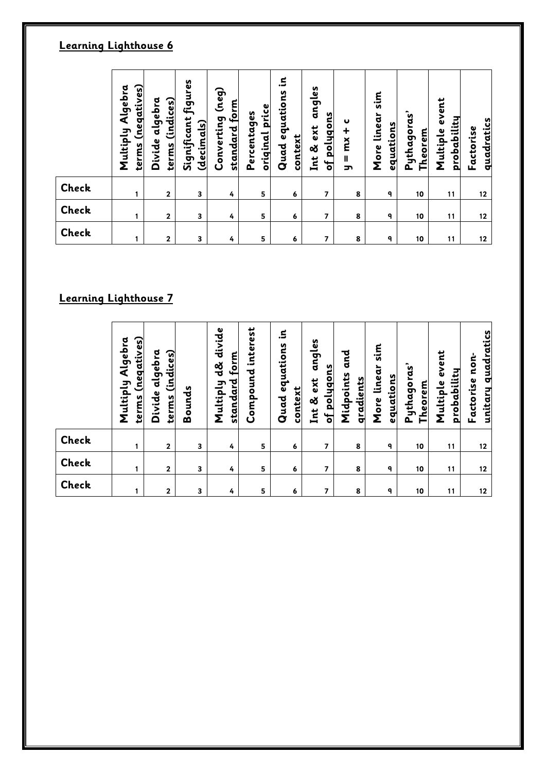# **Learning Lighthouse 6**

|                       | (negatives)<br>Multiply Algebra<br>terms | terms (indices)<br>Divide algebra | Significant figures<br><u>(decimals)</u> | (neg)<br>standard form<br>Converting | <u>original price</u><br>Percentages | Ξ.<br>Quad equations<br>context | angles<br>of polygons<br>Int & ext | U<br>$mx +$<br>$\mathbf{I}$<br>ᠴ | sin <sub>s</sub><br>More linear<br><u>equations</u> | Pythagoras'<br><b>Theorem</b> | event<br><u>probability</u><br>Multiple | quadratics<br>Factorise |
|-----------------------|------------------------------------------|-----------------------------------|------------------------------------------|--------------------------------------|--------------------------------------|---------------------------------|------------------------------------|----------------------------------|-----------------------------------------------------|-------------------------------|-----------------------------------------|-------------------------|
| <b>Check</b>          | 1                                        | $\mathbf{2}$                      | 3                                        | 4                                    | 5                                    | 6                               | 7                                  | 8                                | 9                                                   | 10                            | 11                                      | 12                      |
| <b>Check</b>          | 1                                        | $\mathbf{2}$                      | $\overline{\mathbf{3}}$                  | 4                                    | 5                                    | 6                               | 7                                  | 8                                | ٩                                                   | 10                            | 11                                      | 12                      |
| <b>Check</b>          | 1                                        | $\mathbf{2}$                      | 3                                        | 4                                    | 5                                    | 6                               | 7                                  | 8                                | 9                                                   | 10                            | 11                                      | 12                      |
|                       |                                          |                                   |                                          |                                      |                                      |                                 |                                    |                                  |                                                     |                               |                                         |                         |
| Learning Lighthouse 7 |                                          |                                   |                                          |                                      |                                      |                                 |                                    |                                  |                                                     |                               |                                         |                         |

|              | (negatives)<br>Multiply Algebra<br>terms | <u>(indices)</u><br>Divide algebra<br>terms | Bounds | divide<br>standard form<br>ತ್ತ<br>Multiply | interest<br>Compound | Ξ.<br>Quad equations<br>context | angles<br><u>of polygons</u><br>Int & ext | and<br>Midpoints<br>gradients | sim<br>linear<br><u>equations</u><br>More | Pythagoras'<br><b>Theorem</b> | event<br>probability<br>Multiple | <u>unitary quadratics</u><br>non-<br>Factorise |
|--------------|------------------------------------------|---------------------------------------------|--------|--------------------------------------------|----------------------|---------------------------------|-------------------------------------------|-------------------------------|-------------------------------------------|-------------------------------|----------------------------------|------------------------------------------------|
| <b>Check</b> |                                          | $\mathbf{2}$                                | 3      | 4                                          | 5                    | 6                               | 7                                         | 8                             | ٩                                         | 10                            | 11                               | 12                                             |
| Check        |                                          | $\mathbf{2}$                                | 3      | 4                                          | 5                    | 6                               | 7                                         | 8                             | ٩                                         | 10                            | 11                               | 12                                             |
| Check        |                                          | $\overline{2}$                              | 3      | 4                                          | 5                    | 6                               | 7                                         | 8                             | ٩                                         | 10                            | 11                               | 12                                             |